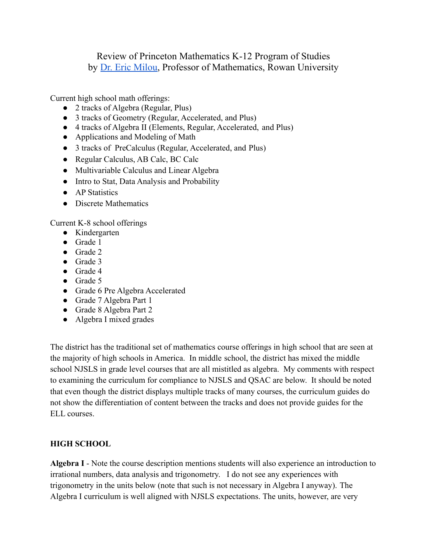## Review of Princeton Mathematics K-12 Program of Studies by Dr. Eric [Milou,](https://www.ericmilou.net/about) Professor of Mathematics, Rowan University

Current high school math offerings:

- 2 tracks of Algebra (Regular, Plus)
- 3 tracks of Geometry (Regular, Accelerated, and Plus)
- 4 tracks of Algebra II (Elements, Regular, Accelerated, and Plus)
- Applications and Modeling of Math
- 3 tracks of PreCalculus (Regular, Accelerated, and Plus)
- Regular Calculus, AB Calc, BC Calc
- Multivariable Calculus and Linear Algebra
- Intro to Stat, Data Analysis and Probability
- AP Statistics
- Discrete Mathematics

Current K-8 school offerings

- Kindergarten
- Grade 1
- Grade 2
- Grade 3
- Grade 4
- Grade 5
- Grade 6 Pre Algebra Accelerated
- Grade 7 Algebra Part 1
- Grade 8 Algebra Part 2
- Algebra I mixed grades

The district has the traditional set of mathematics course offerings in high school that are seen at the majority of high schools in America. In middle school, the district has mixed the middle school NJSLS in grade level courses that are all mistitled as algebra. My comments with respect to examining the curriculum for compliance to NJSLS and QSAC are below. It should be noted that even though the district displays multiple tracks of many courses, the curriculum guides do not show the differentiation of content between the tracks and does not provide guides for the ELL courses.

## **HIGH SCHOOL**

**Algebra I** - Note the course description mentions students will also experience an introduction to irrational numbers, data analysis and trigonometry. I do not see any experiences with trigonometry in the units below (note that such is not necessary in Algebra I anyway). The Algebra I curriculum is well aligned with NJSLS expectations. The units, however, are very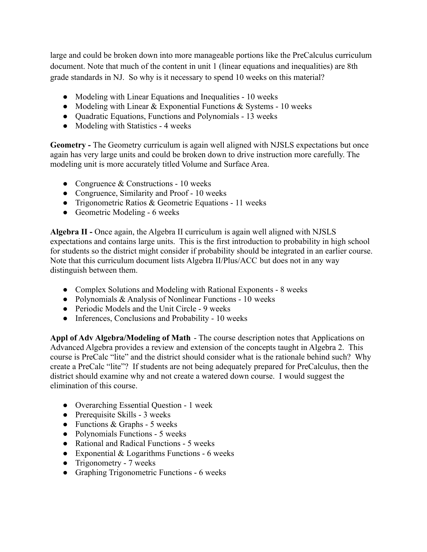large and could be broken down into more manageable portions like the PreCalculus curriculum document. Note that much of the content in unit 1 (linear equations and inequalities) are 8th grade standards in NJ. So why is it necessary to spend 10 weeks on this material?

- Modeling with Linear Equations and Inequalities 10 weeks
- Modeling with Linear  $& Exponential$  Functions  $& Systems 10$  weeks
- Quadratic Equations, Functions and Polynomials 13 weeks
- Modeling with Statistics 4 weeks

**Geometry -** The Geometry curriculum is again well aligned with NJSLS expectations but once again has very large units and could be broken down to drive instruction more carefully. The modeling unit is more accurately titled Volume and Surface Area.

- Congruence  $&$  Constructions 10 weeks
- Congruence, Similarity and Proof 10 weeks
- Trigonometric Ratios & Geometric Equations 11 weeks
- Geometric Modeling 6 weeks

**Algebra II -** Once again, the Algebra II curriculum is again well aligned with NJSLS expectations and contains large units. This is the first introduction to probability in high school for students so the district might consider if probability should be integrated in an earlier course. Note that this curriculum document lists Algebra II/Plus/ACC but does not in any way distinguish between them.

- Complex Solutions and Modeling with Rational Exponents 8 weeks
- Polynomials & Analysis of Nonlinear Functions 10 weeks
- Periodic Models and the Unit Circle 9 weeks
- Inferences, Conclusions and Probability 10 weeks

**Appl of Adv Algebra/Modeling of Math** - The course description notes that Applications on Advanced Algebra provides a review and extension of the concepts taught in Algebra 2. This course is PreCalc "lite" and the district should consider what is the rationale behind such? Why create a PreCalc "lite"? If students are not being adequately prepared for PreCalculus, then the district should examine why and not create a watered down course. I would suggest the elimination of this course.

- Overarching Essential Question 1 week
- Prerequisite Skills 3 weeks
- $\bullet$  Functions & Graphs 5 weeks
- Polynomials Functions 5 weeks
- Rational and Radical Functions 5 weeks
- Exponential  $&$  Logarithms Functions 6 weeks
- Trigonometry 7 weeks
- Graphing Trigonometric Functions 6 weeks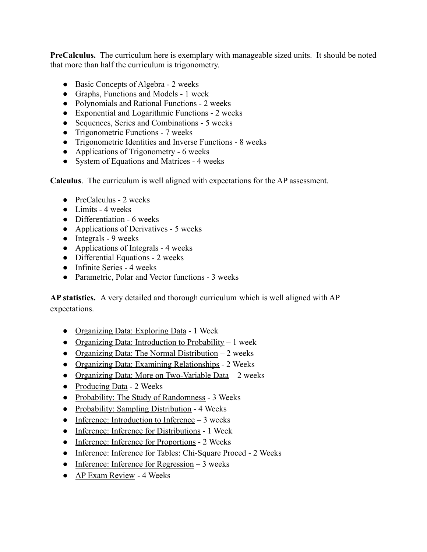**PreCalculus.** The curriculum here is exemplary with manageable sized units. It should be noted that more than half the curriculum is trigonometry.

- Basic Concepts of Algebra 2 weeks
- Graphs, Functions and Models 1 week
- Polynomials and Rational Functions 2 weeks
- Exponential and Logarithmic Functions 2 weeks
- Sequences, Series and Combinations 5 weeks
- Trigonometric Functions 7 weeks
- Trigonometric Identities and Inverse Functions 8 weeks
- Applications of Trigonometry 6 weeks
- System of Equations and Matrices 4 weeks

**Calculus**. The curriculum is well aligned with expectations for the AP assessment.

- PreCalculus 2 weeks
- $\bullet$  Limits 4 weeks
- Differentiation 6 weeks
- Applications of Derivatives 5 weeks
- $\bullet$  Integrals 9 weeks
- Applications of Integrals 4 weeks
- Differential Equations 2 weeks
- $\bullet$  Infinite Series 4 weeks
- Parametric, Polar and Vector functions 3 weeks

**AP statistics.** A very detailed and thorough curriculum which is well aligned with AP expectations.

- [Organizing Data: Exploring Data](https://prs-public.rubiconatlas.org/Atlas/Develop/UnitMap/View/Default?UnitID=8603&YearID=2021&CurriculumMapID=832&) 1 Week
- [Organizing Data: Introduction to Probability](https://prs-public.rubiconatlas.org/Atlas/Develop/UnitMap/View/Default?UnitID=8605&YearID=2021&CurriculumMapID=832&)  $-1$  week
- [Organizing Data: The Normal Distribution](https://prs-public.rubiconatlas.org/Atlas/Develop/UnitMap/View/Default?UnitID=8604&YearID=2021&CurriculumMapID=832&)  $-2$  weeks
- [Organizing Data: Examining Relationships](https://prs-public.rubiconatlas.org/Atlas/Develop/UnitMap/View/Default?UnitID=8606&YearID=2021&CurriculumMapID=832&) 2 Weeks
- [Organizing Data: More on Two-Variable Data](https://prs-public.rubiconatlas.org/Atlas/Develop/UnitMap/View/Default?UnitID=8607&YearID=2021&CurriculumMapID=832&) 2 weeks
- [Producing Data](https://prs-public.rubiconatlas.org/Atlas/Develop/UnitMap/View/Default?UnitID=8608&YearID=2021&CurriculumMapID=832&) 2 Weeks
- [Probability: The Study of Randomness](https://prs-public.rubiconatlas.org/Atlas/Develop/UnitMap/View/Default?UnitID=8609&YearID=2021&CurriculumMapID=832&) 3 Weeks
- [Probability: Sampling Distribution](https://prs-public.rubiconatlas.org/Atlas/Develop/UnitMap/View/Default?UnitID=8612&YearID=2021&CurriculumMapID=832&) 4 Weeks
- [Inference: Introduction to Inference](https://prs-public.rubiconatlas.org/Atlas/Develop/UnitMap/View/Default?UnitID=8613&YearID=2021&CurriculumMapID=832&)  $-3$  weeks
- [Inference: Inference for Distributions](https://prs-public.rubiconatlas.org/Atlas/Develop/UnitMap/View/Default?UnitID=8614&YearID=2021&CurriculumMapID=832&) 1 Week
- [Inference: Inference for Proportions](https://prs-public.rubiconatlas.org/Atlas/Develop/UnitMap/View/Default?UnitID=8615&YearID=2021&CurriculumMapID=832&) 2 Weeks
- [Inference: Inference for Tables: Chi-Square Proced](https://prs-public.rubiconatlas.org/Atlas/Develop/UnitMap/View/Default?UnitID=8616&YearID=2021&CurriculumMapID=832&) 2 Weeks
- [Inference: Inference for Regression](https://prs-public.rubiconatlas.org/Atlas/Develop/UnitMap/View/Default?UnitID=8617&YearID=2021&CurriculumMapID=832&)  $-3$  weeks
- [AP Exam Review](https://prs-public.rubiconatlas.org/Atlas/Develop/UnitMap/View/Default?UnitID=8618&YearID=2021&CurriculumMapID=832&) 4 Weeks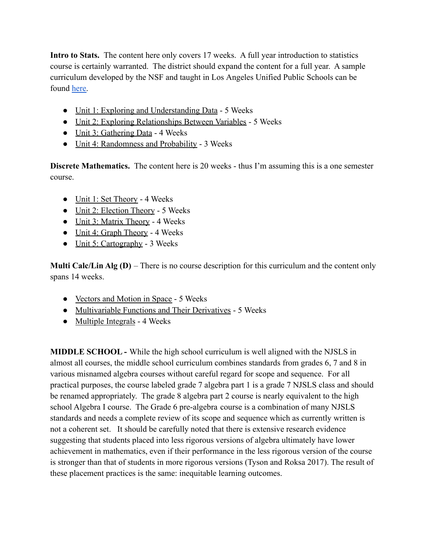**Intro to Stats.** The content here only covers 17 weeks. A full year introduction to statistics course is certainly warranted. The district should expand the content for a full year. A sample curriculum developed by the NSF and taught in Los Angeles Unified Public Schools can be found [here.](https://www.introdatascience.org/)

- [Unit 1: Exploring and Understanding Data](https://prs-public.rubiconatlas.org/Atlas/Develop/UnitMap/View/Default?UnitID=12149&YearID=2021&CurriculumMapID=3804&) 5 Weeks
- [Unit 2: Exploring Relationships Between Variables](https://prs-public.rubiconatlas.org/Atlas/Develop/UnitMap/View/Default?UnitID=12150&YearID=2021&CurriculumMapID=3804&) 5 Weeks
- [Unit 3: Gathering Data](https://prs-public.rubiconatlas.org/Atlas/Develop/UnitMap/View/Default?UnitID=12151&YearID=2021&CurriculumMapID=3804&) 4 Weeks
- [Unit 4: Randomness and Probability](https://prs-public.rubiconatlas.org/Atlas/Develop/UnitMap/View/Default?UnitID=12152&YearID=2021&CurriculumMapID=3804&) 3 Weeks

**Discrete Mathematics.** The content here is 20 weeks - thus I'm assuming this is a one semester course.

- [Unit 1: Set Theory](https://prs-public.rubiconatlas.org/Atlas/Develop/UnitMap/View/Default?UnitID=12144&YearID=2021&CurriculumMapID=3805&) 4 Weeks
- [Unit 2: Election Theory](https://prs-public.rubiconatlas.org/Atlas/Develop/UnitMap/View/Default?UnitID=12145&YearID=2021&CurriculumMapID=3805&) 5 Weeks
- [Unit 3: Matrix Theory](https://prs-public.rubiconatlas.org/Atlas/Develop/UnitMap/View/Default?UnitID=12146&YearID=2021&CurriculumMapID=3805&) 4 Weeks
- [Unit 4: Graph Theory](https://prs-public.rubiconatlas.org/Atlas/Develop/UnitMap/View/Default?UnitID=12147&YearID=2021&CurriculumMapID=3805&) 4 Weeks
- [Unit 5: Cartography](https://prs-public.rubiconatlas.org/Atlas/Develop/UnitMap/View/Default?UnitID=12148&YearID=2021&CurriculumMapID=3805&) 3 Weeks

**Multi Calc/Lin Alg (D)** – There is no course description for this curriculum and the content only spans 14 weeks.

- [Vectors and Motion in Space](https://prs-public.rubiconatlas.org/Atlas/Develop/UnitMap/View/Default?UnitID=10781&YearID=2021&CurriculumMapID=305&) 5 Weeks
- [Multivariable Functions and Their Derivatives](https://prs-public.rubiconatlas.org/Atlas/Develop/UnitMap/View/Default?UnitID=10782&YearID=2021&CurriculumMapID=305&) 5 Weeks
- [Multiple Integrals](https://prs-public.rubiconatlas.org/Atlas/Develop/UnitMap/View/Default?UnitID=10783&YearID=2021&CurriculumMapID=305&) 4 Weeks

**MIDDLE SCHOOL -** While the high school curriculum is well aligned with the NJSLS in almost all courses, the middle school curriculum combines standards from grades 6, 7 and 8 in various misnamed algebra courses without careful regard for scope and sequence. For all practical purposes, the course labeled grade 7 algebra part 1 is a grade 7 NJSLS class and should be renamed appropriately. The grade 8 algebra part 2 course is nearly equivalent to the high school Algebra I course. The Grade 6 pre-algebra course is a combination of many NJSLS standards and needs a complete review of its scope and sequence which as currently written is not a coherent set. It should be carefully noted that there is extensive research evidence suggesting that students placed into less rigorous versions of algebra ultimately have lower achievement in mathematics, even if their performance in the less rigorous version of the course is stronger than that of students in more rigorous versions (Tyson and Roksa 2017). The result of these placement practices is the same: inequitable learning outcomes.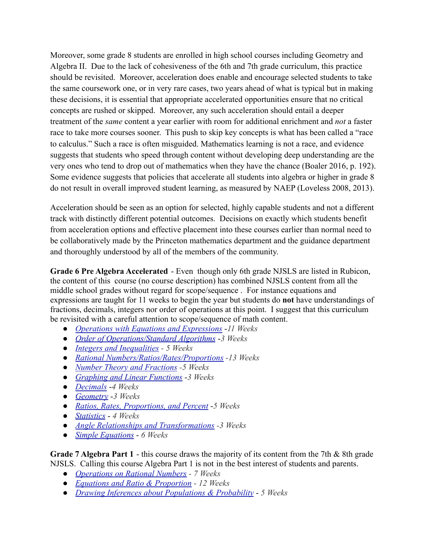Moreover, some grade 8 students are enrolled in high school courses including Geometry and Algebra II. Due to the lack of cohesiveness of the 6th and 7th grade curriculum, this practice should be revisited. Moreover, acceleration does enable and encourage selected students to take the same coursework one, or in very rare cases, two years ahead of what is typical but in making these decisions, it is essential that appropriate accelerated opportunities ensure that no critical concepts are rushed or skipped. Moreover, any such acceleration should entail a deeper treatment of the *same* content a year earlier with room for additional enrichment and *not* a faster race to take more courses sooner. This push to skip key concepts is what has been called a "race to calculus." Such a race is often misguided. Mathematics learning is not a race, and evidence suggests that students who speed through content without developing deep understanding are the very ones who tend to drop out of mathematics when they have the chance (Boaler 2016, p. 192). Some evidence suggests that policies that accelerate all students into algebra or higher in grade 8 do not result in overall improved student learning, as measured by NAEP (Loveless 2008, 2013).

Acceleration should be seen as an option for selected, highly capable students and not a different track with distinctly different potential outcomes. Decisions on exactly which students benefit from acceleration options and effective placement into these courses earlier than normal need to be collaboratively made by the Princeton mathematics department and the guidance department and thoroughly understood by all of the members of the community.

**Grade 6 Pre Algebra Accelerated** - Even though only 6th grade NJSLS are listed in Rubicon, the content of this course (no course description) has combined NJSLS content from all the middle school grades without regard for scope/sequence . For instance equations and expressions are taught for 11 weeks to begin the year but students do **not** have understandings of fractions, decimals, integers nor order of operations at this point. I suggest that this curriculum be revisited with a careful attention to scope/sequence of math content.

- *[Operations with Equations and Expressions](https://prs-public.rubiconatlas.org/Atlas/Develop/UnitMap/View/Default?UnitID=12420&YearID=2021&CurriculumMapID=3843&)* -*11 We[ek](https://prs-public.rubiconatlas.org/Atlas/Develop/UnitMap/View/Default?UnitID=12422&YearID=2021&CurriculumMapID=3843&)s*
- *[Order of Operations/Standard Algorithms](https://prs-public.rubiconatlas.org/Atlas/Develop/UnitMap/View/Default?UnitID=12421&YearID=2021&CurriculumMapID=3843&)* -*3 Weeks*
- *● [Integers and Inequalities](https://prs-public.rubiconatlas.org/Atlas/Develop/UnitMap/View/Default?UnitID=12422&YearID=2021&CurriculumMapID=3843&) 5 Weeks*
- *● [Rational Numbers/Ratios/Rates/Proportions](https://prs-public.rubiconatlas.org/Atlas/Develop/UnitMap/View/Default?UnitID=12423&YearID=2021&CurriculumMapID=3843&) -13 Week[s](https://prs-public.rubiconatlas.org/Atlas/Develop/UnitMap/View/Default?UnitID=12424&YearID=2021&CurriculumMapID=3843&)*
- *● [Number Theory and Fractions](https://prs-public.rubiconatlas.org/Atlas/Develop/UnitMap/View/Default?UnitID=12424&YearID=2021&CurriculumMapID=3843&) -5 Weeks*
- *[Graphing and Linear Functions](https://prs-public.rubiconatlas.org/Atlas/Develop/UnitMap/View/Default?UnitID=12425&YearID=2021&CurriculumMapID=3843&)* -*3 Week[s](https://prs-public.rubiconatlas.org/Atlas/Develop/UnitMap/View/Default?UnitID=12426&YearID=2021&CurriculumMapID=3843&)*
- *[Decimals](https://prs-public.rubiconatlas.org/Atlas/Develop/UnitMap/View/Default?UnitID=12426&YearID=2021&CurriculumMapID=3843&)* -*4 Weeks*
- *[Geometry](https://prs-public.rubiconatlas.org/Atlas/Develop/UnitMap/View/Default?UnitID=12427&YearID=2021&CurriculumMapID=3843&)* -*3 Weeks*
- *[Ratios, Rates, Proportions, and Percent](https://prs-public.rubiconatlas.org/Atlas/Develop/UnitMap/View/Default?UnitID=12428&YearID=2021&CurriculumMapID=3843&)* -*5 Week[s](https://prs-public.rubiconatlas.org/Atlas/Develop/UnitMap/View/Default?UnitID=12429&YearID=2021&CurriculumMapID=3843&)*
- *[Statistics](https://prs-public.rubiconatlas.org/Atlas/Develop/UnitMap/View/Default?UnitID=12429&YearID=2021&CurriculumMapID=3843&) 4 Weeks*
- *● [Angle Relationships and Transformations](https://prs-public.rubiconatlas.org/Atlas/Develop/UnitMap/View/Default?UnitID=12430&YearID=2021&CurriculumMapID=3843&) -3 Week[s](https://prs-public.rubiconatlas.org/Atlas/Develop/UnitMap/View/Default?UnitID=12431&YearID=2021&CurriculumMapID=3843&)*
- *[Simple Equations](https://prs-public.rubiconatlas.org/Atlas/Develop/UnitMap/View/Default?UnitID=12431&YearID=2021&CurriculumMapID=3843&) 6 Weeks*

**Grade 7 Algebra Part 1** - this course draws the majority of its content from the 7th & 8th grade NJSLS. Calling this course Algebra Part 1 is not in the best interest of students and parents.

- *● [Operations on Rational Numbers](https://prs-public.rubiconatlas.org/Atlas/Develop/UnitMap/View/Default?UnitID=12873&YearID=2021&CurriculumMapID=2502&) 7 Week[s](https://prs-public.rubiconatlas.org/Atlas/Develop/UnitMap/View/Default?UnitID=12878&YearID=2021&CurriculumMapID=2502&)*
- *● [Equations and Ratio & Proportion](https://prs-public.rubiconatlas.org/Atlas/Develop/UnitMap/View/Default?UnitID=12878&YearID=2021&CurriculumMapID=2502&) 12 Weeks*
- *[Drawing Inferences about Populations & Probability](https://prs-public.rubiconatlas.org/Atlas/Develop/UnitMap/View/Default?UnitID=12880&YearID=2021&CurriculumMapID=2502&) 5 Weeks*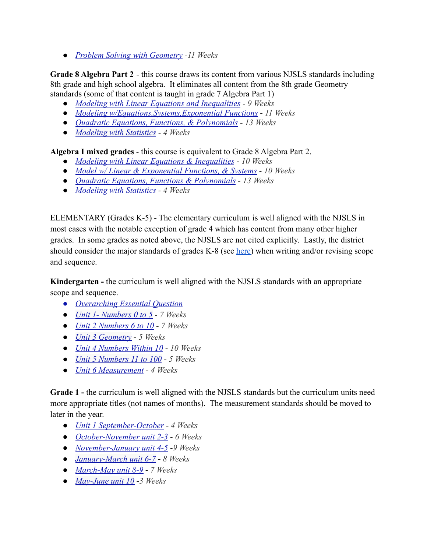*● [Problem Solving with Geometry](https://prs-public.rubiconatlas.org/Atlas/Develop/UnitMap/View/Default?UnitID=12879&YearID=2021&CurriculumMapID=2502&) -11 Weeks*

**Grade 8 Algebra Part 2** - this course draws its content from various NJSLS standards including 8th grade and high school algebra. It eliminates all content from the 8th grade Geometry standards (some of that content is taught in grade 7 Algebra Part 1)

- *[Modeling with Linear Equations and Inequalities](https://prs-public.rubiconatlas.org/Atlas/Develop/UnitMap/View/Default?UnitID=12874&YearID=2021&CurriculumMapID=482&) 9 Weeks*
- *[Modeling w/Equations,Systems,Exponential Functions](https://prs-public.rubiconatlas.org/Atlas/Develop/UnitMap/View/Default?UnitID=12875&YearID=2021&CurriculumMapID=482&) 11 Weeks*
- *[Quadratic Equations, Functions, & Polynomials](https://prs-public.rubiconatlas.org/Atlas/Develop/UnitMap/View/Default?UnitID=12876&YearID=2021&CurriculumMapID=482&) 13 Weeks*
- *[Modeling with Statistics](https://prs-public.rubiconatlas.org/Atlas/Develop/UnitMap/View/Default?UnitID=12877&YearID=2021&CurriculumMapID=482&) 4 Weeks*

**Algebra I mixed grades** - this course is equivalent to Grade 8 Algebra Part 2.

- *[Modeling with Linear Equations & Inequalities](https://prs-public.rubiconatlas.org/Atlas/Develop/UnitMap/View/Default?UnitID=12886&YearID=2021&CurriculumMapID=3888&) 10 Weeks*
- *[Model w/ Linear & Exponential Functions, & Systems](https://prs-public.rubiconatlas.org/Atlas/Develop/UnitMap/View/Default?UnitID=12887&YearID=2021&CurriculumMapID=3888&) 10 Weeks*
- *● [Quadratic Equations, Functions & Polynomials](https://prs-public.rubiconatlas.org/Atlas/Develop/UnitMap/View/Default?UnitID=12888&YearID=2021&CurriculumMapID=3888&) 13 Weeks*
- *● [Modeling with Statistics](https://prs-public.rubiconatlas.org/Atlas/Develop/UnitMap/View/Default?UnitID=12889&YearID=2021&CurriculumMapID=3888&) 4 Weeks*

ELEMENTARY (Grades K-5) - The elementary curriculum is well aligned with the NJSLS in most cases with the notable exception of grade 4 which has content from many other higher grades. In some grades as noted above, the NJSLS are not cited explicitly. Lastly, the district should consider the major standards of grades K-8 (see [here\)](https://docs.google.com/presentation/d/1D67wie2HUrLgsuWxQY2v0RCd4cx9NNAYA1fLF3AqxsE/edit?usp=sharing) when writing and/or revising scope and sequence.

**Kindergarten -** the curriculum is well aligned with the NJSLS standards with an appropriate scope and sequence.

- *● [Overarching Essential Question](https://prs-public.rubiconatlas.org/Atlas/Develop/UnitMap/View/Default?UnitID=11978&YearID=2021&CurriculumMapID=282&)*
- *[Unit 1- Numbers 0 to 5](https://prs-public.rubiconatlas.org/Atlas/Develop/UnitMap/View/Default?UnitID=1749&YearID=2021&CurriculumMapID=282&) 7 Weeks*
- *[Unit 2 Numbers 6 to 10](https://prs-public.rubiconatlas.org/Atlas/Develop/UnitMap/View/Default?UnitID=1750&YearID=2021&CurriculumMapID=282&) 7 Weeks*
- *[Unit 3 Geometry](https://prs-public.rubiconatlas.org/Atlas/Develop/UnitMap/View/Default?UnitID=12499&YearID=2021&CurriculumMapID=282&) 5 Weeks*
- *[Unit 4 Numbers Within 10](https://prs-public.rubiconatlas.org/Atlas/Develop/UnitMap/View/Default?UnitID=12500&YearID=2021&CurriculumMapID=282&) 10 Weeks*
- *[Unit 5 Numbers 11 to 100](https://prs-public.rubiconatlas.org/Atlas/Develop/UnitMap/View/Default?UnitID=12501&YearID=2021&CurriculumMapID=282&) 5 Weeks*
- *[Unit 6 Measurement](https://prs-public.rubiconatlas.org/Atlas/Develop/UnitMap/View/Default?UnitID=12502&YearID=2021&CurriculumMapID=282&) 4 Weeks*

**Grade 1 -** the curriculum is well aligned with the NJSLS standards but the curriculum units need more appropriate titles (not names of months). The measurement standards should be moved to later in the year.

- *[Unit 1 September-October](https://prs-public.rubiconatlas.org/Atlas/Develop/UnitMap/View/Default?UnitID=1672&YearID=2021&CurriculumMapID=272&) 4 Weeks*
- *[October-November unit 2-3](https://prs-public.rubiconatlas.org/Atlas/Develop/UnitMap/View/Default?UnitID=1674&YearID=2021&CurriculumMapID=272&) 6 Weeks*
- *[November-January unit 4-5](https://prs-public.rubiconatlas.org/Atlas/Develop/UnitMap/View/Default?UnitID=1677&YearID=2021&CurriculumMapID=272&)* -*9 Weeks*
- *[January-March unit 6-7](https://prs-public.rubiconatlas.org/Atlas/Develop/UnitMap/View/Default?UnitID=1678&YearID=2021&CurriculumMapID=272&) 8 Weeks*
- *[March-May unit 8-9](https://prs-public.rubiconatlas.org/Atlas/Develop/UnitMap/View/Default?UnitID=1680&YearID=2021&CurriculumMapID=272&) 7 Weeks*
- *[May-June unit 10](https://prs-public.rubiconatlas.org/Atlas/Develop/UnitMap/View/Default?UnitID=1684&YearID=2021&CurriculumMapID=272&)* -*3 Weeks*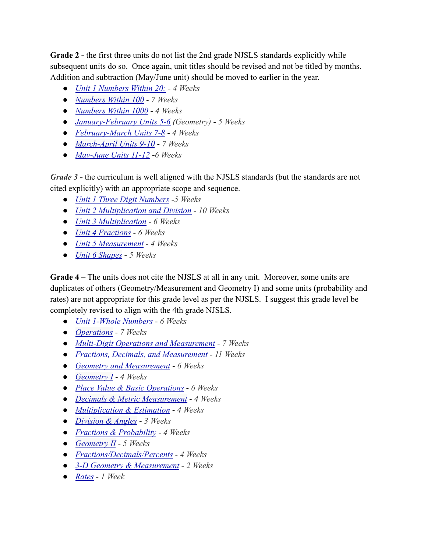**Grade 2 -** the first three units do not list the 2nd grade NJSLS standards explicitly while subsequent units do so. Once again, unit titles should be revised and not be titled by months. Addition and subtraction (May/June unit) should be moved to earlier in the year.

- *● [Unit 1 Numbers Within 20:](https://prs-public.rubiconatlas.org/Atlas/Develop/UnitMap/View/Default?UnitID=1673&YearID=2021&CurriculumMapID=273&) 4 Weeks*
- *[Numbers Within 100](https://prs-public.rubiconatlas.org/Atlas/Develop/UnitMap/View/Default?UnitID=1675&YearID=2021&CurriculumMapID=273&) 7 Weeks*
- *[Numbers Within 1000](https://prs-public.rubiconatlas.org/Atlas/Develop/UnitMap/View/Default?UnitID=1676&YearID=2021&CurriculumMapID=273&) 4 Week[s](https://prs-public.rubiconatlas.org/Atlas/Develop/UnitMap/View/Default?UnitID=1679&YearID=2021&CurriculumMapID=273&)*
- *[January-February Units 5-6](https://prs-public.rubiconatlas.org/Atlas/Develop/UnitMap/View/Default?UnitID=1679&YearID=2021&CurriculumMapID=273&) (Geometry) 5 Weeks*
- *[February-March Units 7-8](https://prs-public.rubiconatlas.org/Atlas/Develop/UnitMap/View/Default?UnitID=1681&YearID=2021&CurriculumMapID=273&) 4 Weeks*
- *[March-April Units 9-10](https://prs-public.rubiconatlas.org/Atlas/Develop/UnitMap/View/Default?UnitID=1682&YearID=2021&CurriculumMapID=273&) 7 Weeks*
- *[May-June Units 11-12](https://prs-public.rubiconatlas.org/Atlas/Develop/UnitMap/View/Default?UnitID=1683&YearID=2021&CurriculumMapID=273&)* -*6 Weeks*

*Grade 3* - the curriculum is well aligned with the NJSLS standards (but the standards are not cited explicitly) with an appropriate scope and sequence.

- *[Unit 1 Three Digit Numbers](https://prs-public.rubiconatlas.org/Atlas/Develop/UnitMap/View/Default?UnitID=7545&YearID=2021&CurriculumMapID=274&)* -*5 Weeks*
- *● [Unit 2 Multiplication and Division](https://prs-public.rubiconatlas.org/Atlas/Develop/UnitMap/View/Default?UnitID=7546&YearID=2021&CurriculumMapID=274&) 10 Week[s](https://prs-public.rubiconatlas.org/Atlas/Develop/UnitMap/View/Default?UnitID=7547&YearID=2021&CurriculumMapID=274&)*
- *● [Unit 3 Multiplication](https://prs-public.rubiconatlas.org/Atlas/Develop/UnitMap/View/Default?UnitID=7547&YearID=2021&CurriculumMapID=274&) 6 Weeks*
- *[Unit 4 Fractions](https://prs-public.rubiconatlas.org/Atlas/Develop/UnitMap/View/Default?UnitID=7548&YearID=2021&CurriculumMapID=274&) 6 Weeks*
- *● [Unit 5 Measurement](https://prs-public.rubiconatlas.org/Atlas/Develop/UnitMap/View/Default?UnitID=7549&YearID=2021&CurriculumMapID=274&) 4 Weeks*
- *[Unit 6 Shapes](https://prs-public.rubiconatlas.org/Atlas/Develop/UnitMap/View/Default?UnitID=7550&YearID=2021&CurriculumMapID=274&) 5 Weeks*

**Grade 4** – The units does not cite the NJSLS at all in any unit. Moreover, some units are duplicates of others (Geometry/Measurement and Geometry I) and some units (probability and rates) are not appropriate for this grade level as per the NJSLS. I suggest this grade level be completely revised to align with the 4th grade NJSLS[.](https://prs-public.rubiconatlas.org/Atlas/Develop/UnitMap/View/Default?UnitID=12521&YearID=2021&CurriculumMapID=275&)

- *[Unit 1-Whole Numbers](https://prs-public.rubiconatlas.org/Atlas/Develop/UnitMap/View/Default?UnitID=12521&YearID=2021&CurriculumMapID=275&) 6 Weeks*
- *[Operations](https://prs-public.rubiconatlas.org/Atlas/Develop/UnitMap/View/Default?UnitID=12522&YearID=2021&CurriculumMapID=275&) 7 Weeks*
- *[Multi-Digit Operations and Measurement](https://prs-public.rubiconatlas.org/Atlas/Develop/UnitMap/View/Default?UnitID=12523&YearID=2021&CurriculumMapID=275&) 7 Week[s](https://prs-public.rubiconatlas.org/Atlas/Develop/UnitMap/View/Default?UnitID=12524&YearID=2021&CurriculumMapID=275&)*
- *[Fractions, Decimals, and Measurement](https://prs-public.rubiconatlas.org/Atlas/Develop/UnitMap/View/Default?UnitID=12524&YearID=2021&CurriculumMapID=275&) 11 Weeks*
- *[Geometry and Measurement](https://prs-public.rubiconatlas.org/Atlas/Develop/UnitMap/View/Default?UnitID=12525&YearID=2021&CurriculumMapID=275&) 6 Weeks*
- *[Geometry I](https://prs-public.rubiconatlas.org/Atlas/Develop/UnitMap/View/Default?UnitID=7555&YearID=2021&CurriculumMapID=275&) 4 Weeks*
- *[Place Value & Basic Operations](https://prs-public.rubiconatlas.org/Atlas/Develop/UnitMap/View/Default?UnitID=7556&YearID=2021&CurriculumMapID=275&) 6 Weeks*
- *[Decimals & Metric Measurement](https://prs-public.rubiconatlas.org/Atlas/Develop/UnitMap/View/Default?UnitID=7557&YearID=2021&CurriculumMapID=275&) 4 Weeks*
- *[Multiplication & Estimation](https://prs-public.rubiconatlas.org/Atlas/Develop/UnitMap/View/Default?UnitID=7558&YearID=2021&CurriculumMapID=275&) 4 Weeks*
- *[Division & Angles](https://prs-public.rubiconatlas.org/Atlas/Develop/UnitMap/View/Default?UnitID=7559&YearID=2021&CurriculumMapID=275&) 3 Weeks*
- *[Fractions & Probability](https://prs-public.rubiconatlas.org/Atlas/Develop/UnitMap/View/Default?UnitID=7560&YearID=2021&CurriculumMapID=275&) 4 Weeks*
- *[Geometry II](https://prs-public.rubiconatlas.org/Atlas/Develop/UnitMap/View/Default?UnitID=7561&YearID=2021&CurriculumMapID=275&) 5 Weeks*
- *[Fractions/Decimals/Percents](https://prs-public.rubiconatlas.org/Atlas/Develop/UnitMap/View/Default?UnitID=7562&YearID=2021&CurriculumMapID=275&) 4 Weeks*
- *● [3-D Geometry & Measurement](https://prs-public.rubiconatlas.org/Atlas/Develop/UnitMap/View/Default?UnitID=7563&YearID=2021&CurriculumMapID=275&) 2 Weeks*
- *[Rates](https://prs-public.rubiconatlas.org/Atlas/Develop/UnitMap/View/Default?UnitID=7564&YearID=2021&CurriculumMapID=275&) 1 Week*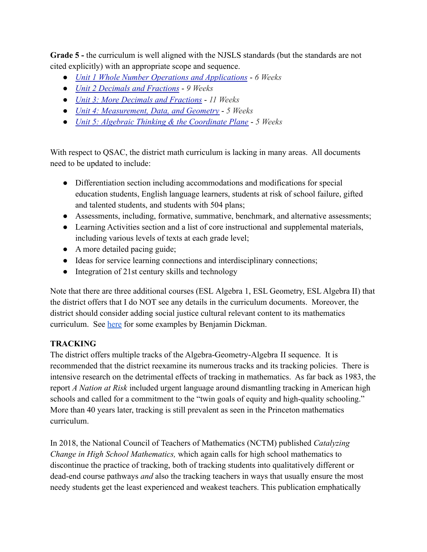**Grade 5 -** the curriculum is well aligned with the NJSLS standards (but the standards are not cited explicitly) with an appropriate scope and sequence.

- *[Unit 1 Whole Number Operations and Applications](https://prs-public.rubiconatlas.org/Atlas/Develop/UnitMap/View/Default?UnitID=7350&YearID=2021&CurriculumMapID=276&) 6 Weeks*
- *[Unit 2 Decimals and Fractions](https://prs-public.rubiconatlas.org/Atlas/Develop/UnitMap/View/Default?UnitID=7380&YearID=2021&CurriculumMapID=276&) 9 Weeks*
- *[Unit 3: More Decimals and Fractions](https://prs-public.rubiconatlas.org/Atlas/Develop/UnitMap/View/Default?UnitID=7381&YearID=2021&CurriculumMapID=276&) 11 Weeks*
- *[Unit 4: Measurement, Data, and Geometry](https://prs-public.rubiconatlas.org/Atlas/Develop/UnitMap/View/Default?UnitID=7382&YearID=2021&CurriculumMapID=276&) 5 Weeks*
- *[Unit 5: Algebraic Thinking & the Coordinate Plane](https://prs-public.rubiconatlas.org/Atlas/Develop/UnitMap/View/Default?UnitID=7383&YearID=2021&CurriculumMapID=276&) 5 Weeks*

With respect to QSAC, the district math curriculum is lacking in many areas. All documents need to be updated to include:

- Differentiation section including accommodations and modifications for special education students, English language learners, students at risk of school failure, gifted and talented students, and students with 504 plans;
- Assessments, including, formative, summative, benchmark, and alternative assessments;
- Learning Activities section and a list of core instructional and supplemental materials, including various levels of texts at each grade level;
- A more detailed pacing guide;
- Ideas for service learning connections and interdisciplinary connections;
- Integration of 21st century skills and technology

Note that there are three additional courses (ESL Algebra 1, ESL Geometry, ESL Algebra II) that the district offers that I do NOT see any details in the curriculum documents. Moreover, the district should consider adding social justice cultural relevant content to its mathematics curriculum. See [here](https://docs.google.com/document/d/1h_s0G4j3wej1XYz9WZNaVsWGnzMQ-61hrbyBYqRC86E/edit?usp=sharing) for some examples by Benjamin Dickman.

## **TRACKING**

The district offers multiple tracks of the Algebra-Geometry-Algebra II sequence. It is recommended that the district reexamine its numerous tracks and its tracking policies. There is intensive research on the detrimental effects of tracking in mathematics. As far back as 1983, the report *A Nation at Risk* included urgent language around dismantling tracking in American high schools and called for a commitment to the "twin goals of equity and high-quality schooling." More than 40 years later, tracking is still prevalent as seen in the Princeton mathematics curriculum.

In 2018, the National Council of Teachers of Mathematics (NCTM) published *Catalyzing Change in High School Mathematics,* which again calls for high school mathematics to discontinue the practice of tracking, both of tracking students into qualitatively different or dead-end course pathways *and* also the tracking teachers in ways that usually ensure the most needy students get the least experienced and weakest teachers. This publication emphatically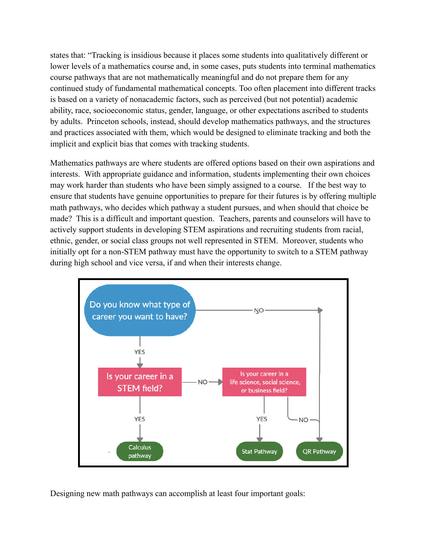states that: "Tracking is insidious because it places some students into qualitatively different or lower levels of a mathematics course and, in some cases, puts students into terminal mathematics course pathways that are not mathematically meaningful and do not prepare them for any continued study of fundamental mathematical concepts. Too often placement into different tracks is based on a variety of nonacademic factors, such as perceived (but not potential) academic ability, race, socioeconomic status, gender, language, or other expectations ascribed to students by adults. Princeton schools, instead, should develop mathematics pathways, and the structures and practices associated with them, which would be designed to eliminate tracking and both the implicit and explicit bias that comes with tracking students.

Mathematics pathways are where students are offered options based on their own aspirations and interests. With appropriate guidance and information, students implementing their own choices may work harder than students who have been simply assigned to a course. If the best way to ensure that students have genuine opportunities to prepare for their futures is by offering multiple math pathways, who decides which pathway a student pursues, and when should that choice be made? This is a difficult and important question. Teachers, parents and counselors will have to actively support students in developing STEM aspirations and recruiting students from racial, ethnic, gender, or social class groups not well represented in STEM. Moreover, students who initially opt for a non-STEM pathway must have the opportunity to switch to a STEM pathway during high school and vice versa, if and when their interests change.



Designing new math pathways can accomplish at least four important goals: